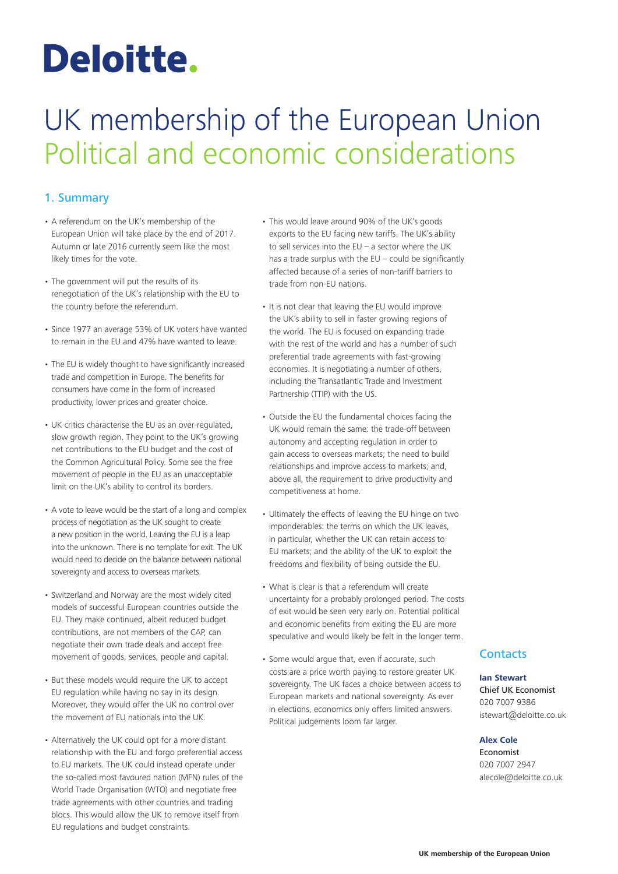# Deloitte.

## UK membership of the European Union Political and economic considerations

#### 1. Summary

- A referendum on the UK's membership of the European Union will take place by the end of 2017. Autumn or late 2016 currently seem like the most likely times for the vote.
- The government will put the results of its renegotiation of the UK's relationship with the EU to the country before the referendum.
- Since 1977 an average 53% of UK voters have wanted to remain in the EU and 47% have wanted to leave.
- The EU is widely thought to have significantly increased trade and competition in Europe. The benefits for consumers have come in the form of increased productivity, lower prices and greater choice.
- UK critics characterise the EU as an over-regulated, slow growth region. They point to the UK's growing net contributions to the EU budget and the cost of the Common Agricultural Policy. Some see the free movement of people in the EU as an unacceptable limit on the UK's ability to control its borders.
- A vote to leave would be the start of a long and complex process of negotiation as the UK sought to create a new position in the world. Leaving the EU is a leap into the unknown. There is no template for exit. The UK would need to decide on the balance between national sovereignty and access to overseas markets.
- Switzerland and Norway are the most widely cited models of successful European countries outside the EU. They make continued, albeit reduced budget contributions, are not members of the CAP, can negotiate their own trade deals and accept free movement of goods, services, people and capital.
- But these models would require the UK to accept EU regulation while having no say in its design. Moreover, they would offer the UK no control over the movement of EU nationals into the UK.
- Alternatively the UK could opt for a more distant relationship with the EU and forgo preferential access to EU markets. The UK could instead operate under the so-called most favoured nation (MFN) rules of the World Trade Organisation (WTO) and negotiate free trade agreements with other countries and trading blocs. This would allow the UK to remove itself from EU regulations and budget constraints.
- This would leave around 90% of the UK's goods exports to the EU facing new tariffs. The UK's ability to sell services into the  $EU - a$  sector where the UK has a trade surplus with the  $EU$  – could be significantly affected because of a series of non‑tariff barriers to trade from non‑EU nations.
- It is not clear that leaving the EU would improve the UK's ability to sell in faster growing regions of the world. The EU is focused on expanding trade with the rest of the world and has a number of such preferential trade agreements with fast-growing economies. It is negotiating a number of others, including the Transatlantic Trade and Investment Partnership (TTIP) with the US.
- Outside the EU the fundamental choices facing the UK would remain the same: the trade‑off between autonomy and accepting regulation in order to gain access to overseas markets; the need to build relationships and improve access to markets; and, above all, the requirement to drive productivity and competitiveness at home.
- Ultimately the effects of leaving the EU hinge on two imponderables: the terms on which the UK leaves, in particular, whether the UK can retain access to EU markets; and the ability of the UK to exploit the freedoms and flexibility of being outside the EU.
- What is clear is that a referendum will create uncertainty for a probably prolonged period. The costs of exit would be seen very early on. Potential political and economic benefits from exiting the EU are more speculative and would likely be felt in the longer term.
- Some would argue that, even if accurate, such costs are a price worth paying to restore greater UK sovereignty. The UK faces a choice between access to European markets and national sovereignty. As ever in elections, economics only offers limited answers. Political judgements loom far larger.

#### **Contacts**

#### **Ian Stewart** Chief UK Economist 020 7007 9386 istewart@deloitte.co.uk

#### **Alex Cole**

Economist 020 7007 2947 alecole@deloitte.co.uk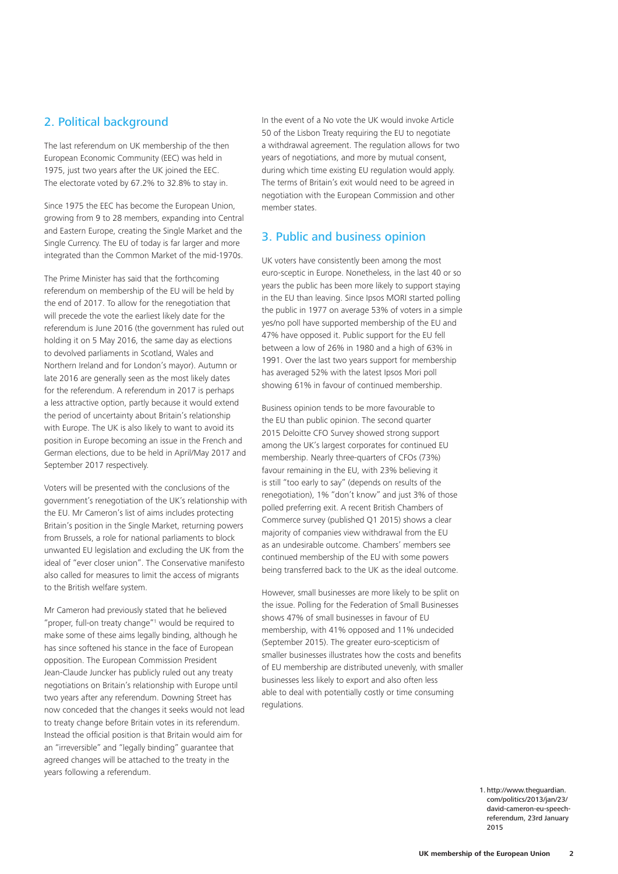#### 2. Political background

The last referendum on UK membership of the then European Economic Community (EEC) was held in 1975, just two years after the UK joined the EEC. The electorate voted by 67.2% to 32.8% to stay in.

Since 1975 the EEC has become the European Union, growing from 9 to 28 members, expanding into Central and Eastern Europe, creating the Single Market and the Single Currency. The EU of today is far larger and more integrated than the Common Market of the mid-1970s.

The Prime Minister has said that the forthcoming referendum on membership of the EU will be held by the end of 2017. To allow for the renegotiation that will precede the vote the earliest likely date for the referendum is June 2016 (the government has ruled out holding it on 5 May 2016, the same day as elections to devolved parliaments in Scotland, Wales and Northern Ireland and for London's mayor). Autumn or late 2016 are generally seen as the most likely dates for the referendum. A referendum in 2017 is perhaps a less attractive option, partly because it would extend the period of uncertainty about Britain's relationship with Europe. The UK is also likely to want to avoid its position in Europe becoming an issue in the French and German elections, due to be held in April/May 2017 and September 2017 respectively.

Voters will be presented with the conclusions of the government's renegotiation of the UK's relationship with the EU. Mr Cameron's list of aims includes protecting Britain's position in the Single Market, returning powers from Brussels, a role for national parliaments to block unwanted EU legislation and excluding the UK from the ideal of "ever closer union". The Conservative manifesto also called for measures to limit the access of migrants to the British welfare system.

Mr Cameron had previously stated that he believed "proper, full-on treaty change"<sup>1</sup> would be required to make some of these aims legally binding, although he has since softened his stance in the face of European opposition. The European Commission President Jean‑Claude Juncker has publicly ruled out any treaty negotiations on Britain's relationship with Europe until two years after any referendum. Downing Street has now conceded that the changes it seeks would not lead to treaty change before Britain votes in its referendum. Instead the official position is that Britain would aim for an "irreversible" and "legally binding" guarantee that agreed changes will be attached to the treaty in the years following a referendum.

In the event of a No vote the UK would invoke Article 50 of the Lisbon Treaty requiring the EU to negotiate a withdrawal agreement. The regulation allows for two years of negotiations, and more by mutual consent, during which time existing EU regulation would apply. The terms of Britain's exit would need to be agreed in negotiation with the European Commission and other member states.

#### 3. Public and business opinion

UK voters have consistently been among the most euro‑sceptic in Europe. Nonetheless, in the last 40 or so years the public has been more likely to support staying in the EU than leaving. Since Ipsos MORI started polling the public in 1977 on average 53% of voters in a simple yes/no poll have supported membership of the EU and 47% have opposed it. Public support for the EU fell between a low of 26% in 1980 and a high of 63% in 1991. Over the last two years support for membership has averaged 52% with the latest Ipsos Mori poll showing 61% in favour of continued membership.

Business opinion tends to be more favourable to the EU than public opinion. The second quarter 2015 Deloitte CFO Survey showed strong support among the UK's largest corporates for continued EU membership. Nearly three‑quarters of CFOs (73%) favour remaining in the EU, with 23% believing it is still "too early to say" (depends on results of the renegotiation), 1% "don't know" and just 3% of those polled preferring exit. A recent British Chambers of Commerce survey (published Q1 2015) shows a clear majority of companies view withdrawal from the EU as an undesirable outcome. Chambers' members see continued membership of the EU with some powers being transferred back to the UK as the ideal outcome.

However, small businesses are more likely to be split on the issue. Polling for the Federation of Small Businesses shows 47% of small businesses in favour of EU membership, with 41% opposed and 11% undecided (September 2015). The greater euro‑scepticism of smaller businesses illustrates how the costs and benefits of EU membership are distributed unevenly, with smaller businesses less likely to export and also often less able to deal with potentially costly or time consuming regulations.

> 1. http://www.theguardian. com/politics/2013/jan/23/ david-cameron-eu-speechreferendum, 23rd January 2015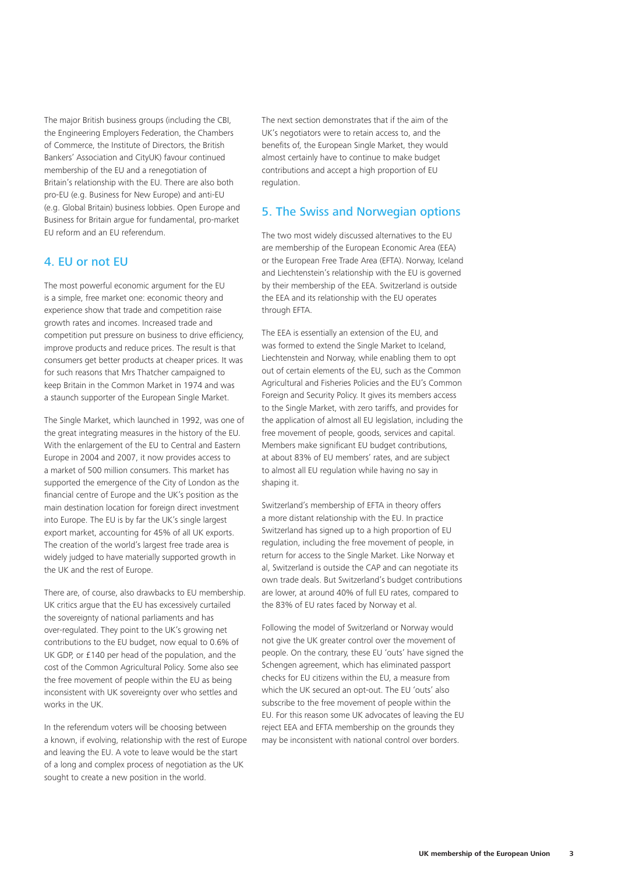The major British business groups (including the CBI, the Engineering Employers Federation, the Chambers of Commerce, the Institute of Directors, the British Bankers' Association and CityUK) favour continued membership of the EU and a renegotiation of Britain's relationship with the EU. There are also both pro‑EU (e.g. Business for New Europe) and anti‑EU (e.g. Global Britain) business lobbies. Open Europe and Business for Britain argue for fundamental, pro-market EU reform and an EU referendum.

#### 4. EU or not EU

The most powerful economic argument for the EU is a simple, free market one: economic theory and experience show that trade and competition raise growth rates and incomes. Increased trade and competition put pressure on business to drive efficiency, improve products and reduce prices. The result is that consumers get better products at cheaper prices. It was for such reasons that Mrs Thatcher campaigned to keep Britain in the Common Market in 1974 and was a staunch supporter of the European Single Market.

The Single Market, which launched in 1992, was one of the great integrating measures in the history of the EU. With the enlargement of the EU to Central and Eastern Europe in 2004 and 2007, it now provides access to a market of 500 million consumers. This market has supported the emergence of the City of London as the financial centre of Europe and the UK's position as the main destination location for foreign direct investment into Europe. The EU is by far the UK's single largest export market, accounting for 45% of all UK exports. The creation of the world's largest free trade area is widely judged to have materially supported growth in the UK and the rest of Europe.

There are, of course, also drawbacks to EU membership. UK critics argue that the EU has excessively curtailed the sovereignty of national parliaments and has over‑regulated. They point to the UK's growing net contributions to the EU budget, now equal to 0.6% of UK GDP, or £140 per head of the population, and the cost of the Common Agricultural Policy. Some also see the free movement of people within the EU as being inconsistent with UK sovereignty over who settles and works in the UK.

In the referendum voters will be choosing between a known, if evolving, relationship with the rest of Europe and leaving the EU. A vote to leave would be the start of a long and complex process of negotiation as the UK sought to create a new position in the world.

The next section demonstrates that if the aim of the UK's negotiators were to retain access to, and the benefits of, the European Single Market, they would almost certainly have to continue to make budget contributions and accept a high proportion of EU regulation.

#### 5. The Swiss and Norwegian options

The two most widely discussed alternatives to the EU are membership of the European Economic Area (EEA) or the European Free Trade Area (EFTA). Norway, Iceland and Liechtenstein's relationship with the EU is governed by their membership of the EEA. Switzerland is outside the EEA and its relationship with the EU operates through EFTA.

The EEA is essentially an extension of the EU, and was formed to extend the Single Market to Iceland, Liechtenstein and Norway, while enabling them to opt out of certain elements of the EU, such as the Common Agricultural and Fisheries Policies and the EU's Common Foreign and Security Policy. It gives its members access to the Single Market, with zero tariffs, and provides for the application of almost all EU legislation, including the free movement of people, goods, services and capital. Members make significant EU budget contributions, at about 83% of EU members' rates, and are subject to almost all EU regulation while having no say in shaping it.

Switzerland's membership of EFTA in theory offers a more distant relationship with the EU. In practice Switzerland has signed up to a high proportion of EU regulation, including the free movement of people, in return for access to the Single Market. Like Norway et al, Switzerland is outside the CAP and can negotiate its own trade deals. But Switzerland's budget contributions are lower, at around 40% of full EU rates, compared to the 83% of EU rates faced by Norway et al.

Following the model of Switzerland or Norway would not give the UK greater control over the movement of people. On the contrary, these EU 'outs' have signed the Schengen agreement, which has eliminated passport checks for EU citizens within the EU, a measure from which the UK secured an opt-out. The EU 'outs' also subscribe to the free movement of people within the EU. For this reason some UK advocates of leaving the EU reject EEA and EFTA membership on the grounds they may be inconsistent with national control over borders.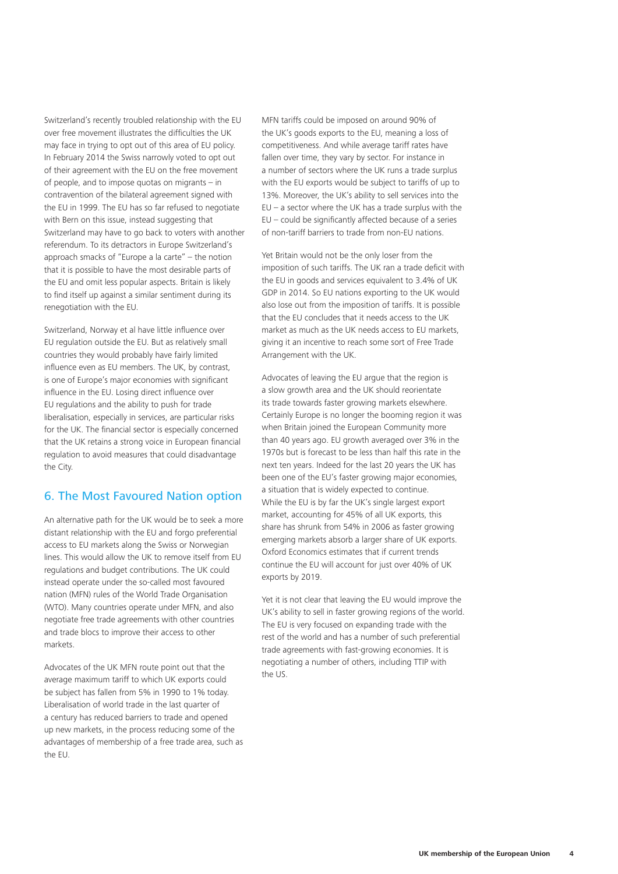Switzerland's recently troubled relationship with the EU over free movement illustrates the difficulties the UK may face in trying to opt out of this area of EU policy. In February 2014 the Swiss narrowly voted to opt out of their agreement with the EU on the free movement of people, and to impose quotas on migrants – in contravention of the bilateral agreement signed with the EU in 1999. The EU has so far refused to negotiate with Bern on this issue, instead suggesting that Switzerland may have to go back to voters with another referendum. To its detractors in Europe Switzerland's approach smacks of "Europe a la carte" – the notion that it is possible to have the most desirable parts of the EU and omit less popular aspects. Britain is likely to find itself up against a similar sentiment during its renegotiation with the EU.

Switzerland, Norway et al have little influence over EU regulation outside the EU. But as relatively small countries they would probably have fairly limited influence even as EU members. The UK, by contrast, is one of Europe's major economies with significant influence in the EU. Losing direct influence over EU regulations and the ability to push for trade liberalisation, especially in services, are particular risks for the UK. The financial sector is especially concerned that the UK retains a strong voice in European financial regulation to avoid measures that could disadvantage the City.

#### 6. The Most Favoured Nation option

An alternative path for the UK would be to seek a more distant relationship with the EU and forgo preferential access to EU markets along the Swiss or Norwegian lines. This would allow the UK to remove itself from EU regulations and budget contributions. The UK could instead operate under the so‑called most favoured nation (MFN) rules of the World Trade Organisation (WTO). Many countries operate under MFN, and also negotiate free trade agreements with other countries and trade blocs to improve their access to other markets.

Advocates of the UK MFN route point out that the average maximum tariff to which UK exports could be subject has fallen from 5% in 1990 to 1% today. Liberalisation of world trade in the last quarter of a century has reduced barriers to trade and opened up new markets, in the process reducing some of the advantages of membership of a free trade area, such as the EU.

MFN tariffs could be imposed on around 90% of the UK's goods exports to the EU, meaning a loss of competitiveness. And while average tariff rates have fallen over time, they vary by sector. For instance in a number of sectors where the UK runs a trade surplus with the EU exports would be subject to tariffs of up to 13%. Moreover, the UK's ability to sell services into the  $EU - a sector where the UK has a trade surplus with the$ EU – could be significantly affected because of a series of non-tariff barriers to trade from non-EU nations.

Yet Britain would not be the only loser from the imposition of such tariffs. The UK ran a trade deficit with the EU in goods and services equivalent to 3.4% of UK GDP in 2014. So EU nations exporting to the UK would also lose out from the imposition of tariffs. It is possible that the EU concludes that it needs access to the UK market as much as the UK needs access to EU markets, giving it an incentive to reach some sort of Free Trade Arrangement with the UK.

Advocates of leaving the EU argue that the region is a slow growth area and the UK should reorientate its trade towards faster growing markets elsewhere. Certainly Europe is no longer the booming region it was when Britain joined the European Community more than 40 years ago. EU growth averaged over 3% in the 1970s but is forecast to be less than half this rate in the next ten years. Indeed for the last 20 years the UK has been one of the EU's faster growing major economies, a situation that is widely expected to continue. While the EU is by far the UK's single largest export market, accounting for 45% of all UK exports, this share has shrunk from 54% in 2006 as faster growing emerging markets absorb a larger share of UK exports. Oxford Economics estimates that if current trends continue the EU will account for just over 40% of UK exports by 2019.

Yet it is not clear that leaving the EU would improve the UK's ability to sell in faster growing regions of the world. The EU is very focused on expanding trade with the rest of the world and has a number of such preferential trade agreements with fast‑growing economies. It is negotiating a number of others, including TTIP with the US.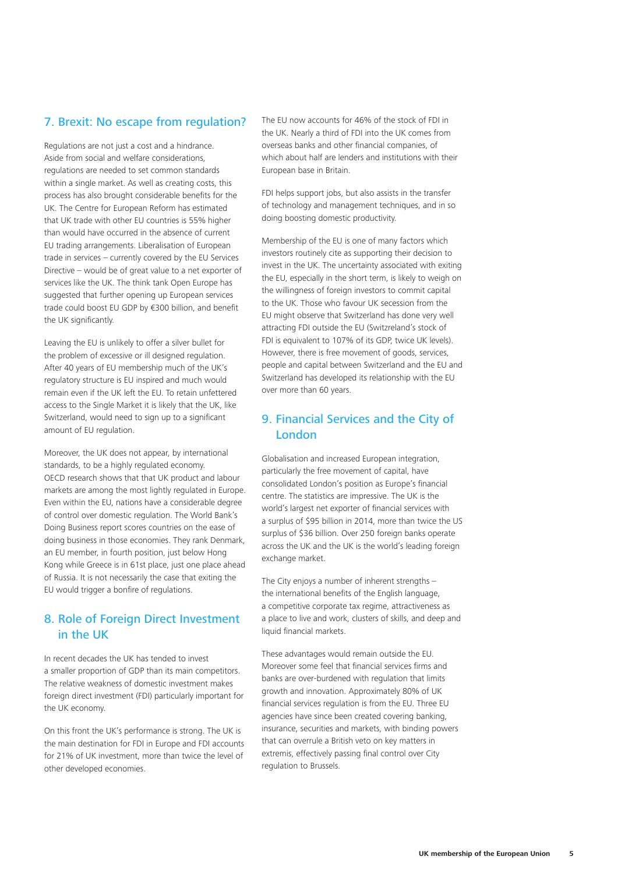#### 7. Brexit: No escape from regulation?

Regulations are not just a cost and a hindrance. Aside from social and welfare considerations, regulations are needed to set common standards within a single market. As well as creating costs, this process has also brought considerable benefits for the UK. The Centre for European Reform has estimated that UK trade with other EU countries is 55% higher than would have occurred in the absence of current EU trading arrangements. Liberalisation of European trade in services – currently covered by the EU Services Directive – would be of great value to a net exporter of services like the UK. The think tank Open Europe has suggested that further opening up European services trade could boost EU GDP by €300 billion, and benefit the UK significantly.

Leaving the EU is unlikely to offer a silver bullet for the problem of excessive or ill designed regulation. After 40 years of EU membership much of the UK's regulatory structure is EU inspired and much would remain even if the UK left the EU. To retain unfettered access to the Single Market it is likely that the UK, like Switzerland, would need to sign up to a significant amount of EU regulation.

Moreover, the UK does not appear, by international standards, to be a highly regulated economy. OECD research shows that that UK product and labour markets are among the most lightly regulated in Europe. Even within the EU, nations have a considerable degree of control over domestic regulation. The World Bank's Doing Business report scores countries on the ease of doing business in those economies. They rank Denmark, an EU member, in fourth position, just below Hong Kong while Greece is in 61st place, just one place ahead of Russia. It is not necessarily the case that exiting the EU would trigger a bonfire of regulations.

#### 8. Role of Foreign Direct Investment in the UK

In recent decades the UK has tended to invest a smaller proportion of GDP than its main competitors. The relative weakness of domestic investment makes foreign direct investment (FDI) particularly important for the UK economy.

On this front the UK's performance is strong. The UK is the main destination for FDI in Europe and FDI accounts for 21% of UK investment, more than twice the level of other developed economies.

The EU now accounts for 46% of the stock of FDI in the UK. Nearly a third of FDI into the UK comes from overseas banks and other financial companies, of which about half are lenders and institutions with their European base in Britain.

FDI helps support jobs, but also assists in the transfer of technology and management techniques, and in so doing boosting domestic productivity.

Membership of the EU is one of many factors which investors routinely cite as supporting their decision to invest in the UK. The uncertainty associated with exiting the EU, especially in the short term, is likely to weigh on the willingness of foreign investors to commit capital to the UK. Those who favour UK secession from the EU might observe that Switzerland has done very well attracting FDI outside the EU (Switzreland's stock of FDI is equivalent to 107% of its GDP, twice UK levels). However, there is free movement of goods, services, people and capital between Switzerland and the EU and Switzerland has developed its relationship with the EU over more than 60 years.

#### 9. Financial Services and the City of London

Globalisation and increased European integration, particularly the free movement of capital, have consolidated London's position as Europe's financial centre. The statistics are impressive. The UK is the world's largest net exporter of financial services with a surplus of \$95 billion in 2014, more than twice the US surplus of \$36 billion. Over 250 foreign banks operate across the UK and the UK is the world's leading foreign exchange market.

The City enjoys a number of inherent strengths – the international benefits of the English language, a competitive corporate tax regime, attractiveness as a place to live and work, clusters of skills, and deep and liquid financial markets.

These advantages would remain outside the EU. Moreover some feel that financial services firms and banks are over‑burdened with regulation that limits growth and innovation. Approximately 80% of UK financial services regulation is from the EU. Three EU agencies have since been created covering banking, insurance, securities and markets, with binding powers that can overrule a British veto on key matters in extremis, effectively passing final control over City regulation to Brussels.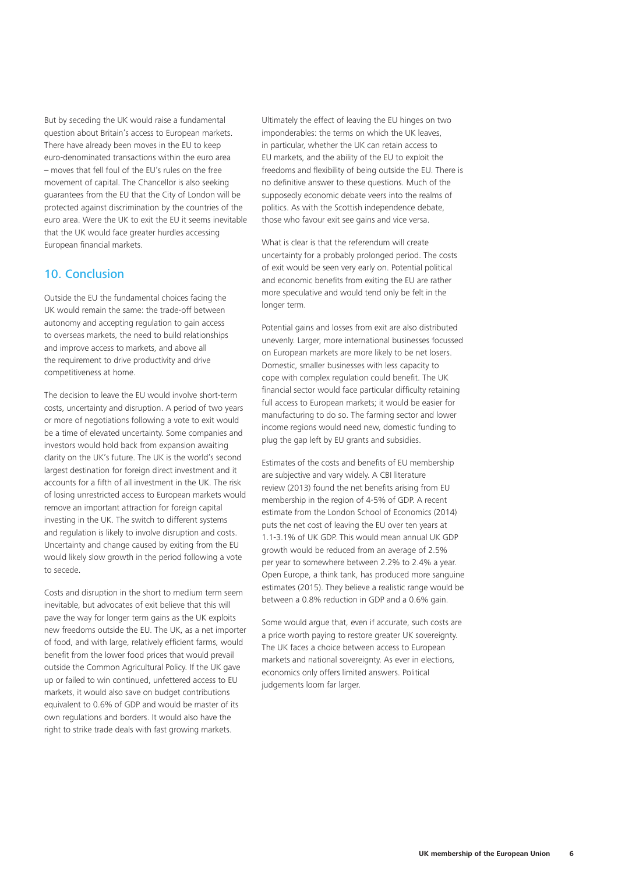But by seceding the UK would raise a fundamental question about Britain's access to European markets. There have already been moves in the EU to keep euro‑denominated transactions within the euro area – moves that fell foul of the EU's rules on the free movement of capital. The Chancellor is also seeking guarantees from the EU that the City of London will be protected against discrimination by the countries of the euro area. Were the UK to exit the EU it seems inevitable that the UK would face greater hurdles accessing European financial markets.

#### 10. Conclusion

Outside the EU the fundamental choices facing the UK would remain the same: the trade‑off between autonomy and accepting regulation to gain access to overseas markets, the need to build relationships and improve access to markets, and above all the requirement to drive productivity and drive competitiveness at home.

The decision to leave the EU would involve short-term costs, uncertainty and disruption. A period of two years or more of negotiations following a vote to exit would be a time of elevated uncertainty. Some companies and investors would hold back from expansion awaiting clarity on the UK's future. The UK is the world's second largest destination for foreign direct investment and it accounts for a fifth of all investment in the UK. The risk of losing unrestricted access to European markets would remove an important attraction for foreign capital investing in the UK. The switch to different systems and regulation is likely to involve disruption and costs. Uncertainty and change caused by exiting from the EU would likely slow growth in the period following a vote to secede.

Costs and disruption in the short to medium term seem inevitable, but advocates of exit believe that this will pave the way for longer term gains as the UK exploits new freedoms outside the EU. The UK, as a net importer of food, and with large, relatively efficient farms, would benefit from the lower food prices that would prevail outside the Common Agricultural Policy. If the UK gave up or failed to win continued, unfettered access to EU markets, it would also save on budget contributions equivalent to 0.6% of GDP and would be master of its own regulations and borders. It would also have the right to strike trade deals with fast growing markets.

Ultimately the effect of leaving the EU hinges on two imponderables: the terms on which the UK leaves, in particular, whether the UK can retain access to EU markets, and the ability of the EU to exploit the freedoms and flexibility of being outside the EU. There is no definitive answer to these questions. Much of the supposedly economic debate veers into the realms of politics. As with the Scottish independence debate, those who favour exit see gains and vice versa.

What is clear is that the referendum will create uncertainty for a probably prolonged period. The costs of exit would be seen very early on. Potential political and economic benefits from exiting the EU are rather more speculative and would tend only be felt in the longer term.

Potential gains and losses from exit are also distributed unevenly. Larger, more international businesses focussed on European markets are more likely to be net losers. Domestic, smaller businesses with less capacity to cope with complex regulation could benefit. The UK financial sector would face particular difficulty retaining full access to European markets; it would be easier for manufacturing to do so. The farming sector and lower income regions would need new, domestic funding to plug the gap left by EU grants and subsidies.

Estimates of the costs and benefits of EU membership are subjective and vary widely. A CBI literature review (2013) found the net benefits arising from EU membership in the region of 4‑5% of GDP. A recent estimate from the London School of Economics (2014) puts the net cost of leaving the EU over ten years at 1.1‑3.1% of UK GDP. This would mean annual UK GDP growth would be reduced from an average of 2.5% per year to somewhere between 2.2% to 2.4% a year. Open Europe, a think tank, has produced more sanguine estimates (2015). They believe a realistic range would be between a 0.8% reduction in GDP and a 0.6% gain.

Some would argue that, even if accurate, such costs are a price worth paying to restore greater UK sovereignty. The UK faces a choice between access to European markets and national sovereignty. As ever in elections, economics only offers limited answers. Political judgements loom far larger.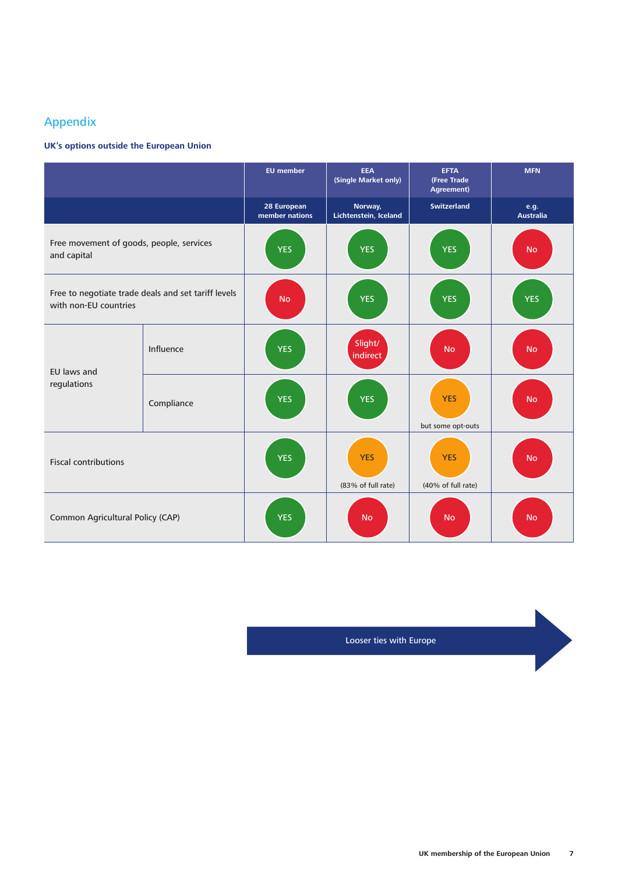### Appendix

#### **UK's options outside the European Union**

|                                                                              |            | <b>EU</b> member              | EEA<br>(Single Market only)      | <b>EFTA</b><br>(Free Trade<br>Agreement) | <b>MFN</b>               |
|------------------------------------------------------------------------------|------------|-------------------------------|----------------------------------|------------------------------------------|--------------------------|
|                                                                              |            | 28 European<br>member nations | Norway,<br>Lichtenstein, Iceland | <b>Switzerland</b>                       | e.g.<br><b>Australia</b> |
| Free movement of goods, people, services<br>and capital                      |            | <b>YES</b>                    | <b>YES</b>                       | <b>YES</b>                               | <b>No</b>                |
| Free to negotiate trade deals and set tariff levels<br>with non-EU countries |            | <b>No</b>                     | <b>YES</b>                       | <b>YES</b>                               | <b>YES</b>               |
| EU laws and<br>regulations                                                   | Influence  | <b>YES</b>                    | Slight/<br>indirect              | <b>No</b>                                | <b>No</b>                |
|                                                                              | Compliance | <b>YES</b>                    | <b>YES</b>                       | <b>YES</b><br>but some opt-outs          | <b>No</b>                |
| <b>Fiscal contributions</b>                                                  |            | <b>YES</b>                    | <b>YES</b><br>(83% of full rate) | <b>YES</b><br>(40% of full rate)         | <b>No</b>                |
| Common Agricultural Policy (CAP)                                             |            | <b>YES</b>                    | <b>No</b>                        | <b>No</b>                                | <b>No</b>                |

Looser ties with Europe

D